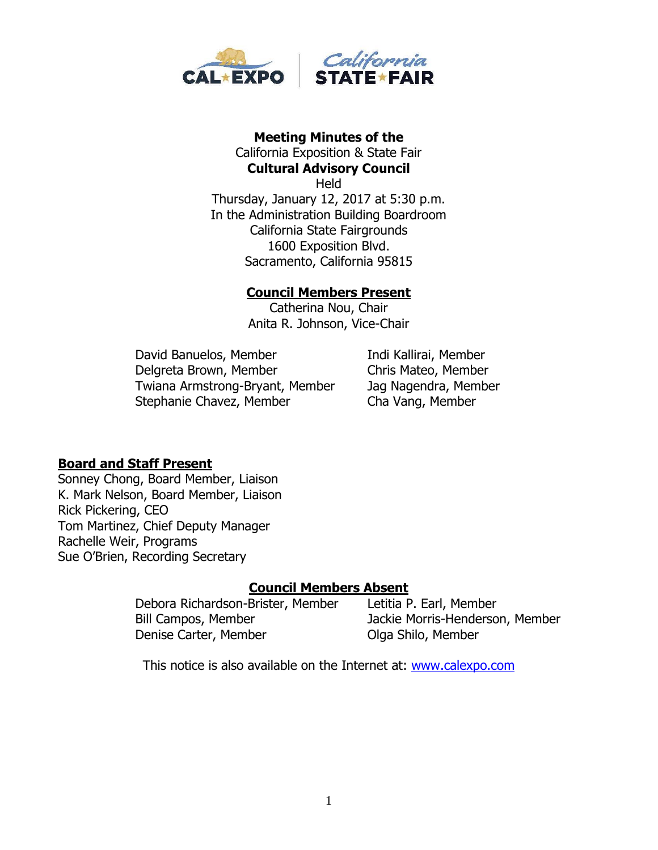

# **Meeting Minutes of the**  California Exposition & State Fair

**Cultural Advisory Council Held** Thursday, January 12, 2017 at 5:30 p.m. In the Administration Building Boardroom California State Fairgrounds 1600 Exposition Blvd. Sacramento, California 95815

#### **Council Members Present**

Catherina Nou, Chair Anita R. Johnson, Vice-Chair

David Banuelos, Member Indi Kallirai, Member Delgreta Brown, Member Chris Mateo, Member Twiana Armstrong-Bryant, Member Jag Nagendra, Member Stephanie Chavez, Member Cha Vang, Member

### **Board and Staff Present**

Sonney Chong, Board Member, Liaison K. Mark Nelson, Board Member, Liaison Rick Pickering, CEO Tom Martinez, Chief Deputy Manager Rachelle Weir, Programs Sue O'Brien, Recording Secretary

### **Council Members Absent**

Debora Richardson-Brister, Member Letitia P. Earl, Member Bill Campos, Member Jackie Morris-Henderson, Member Denise Carter, Member **Olga Shilo, Member** 

This notice is also available on the Internet at: [www.calexpo.com](http://www.calexpo.com/)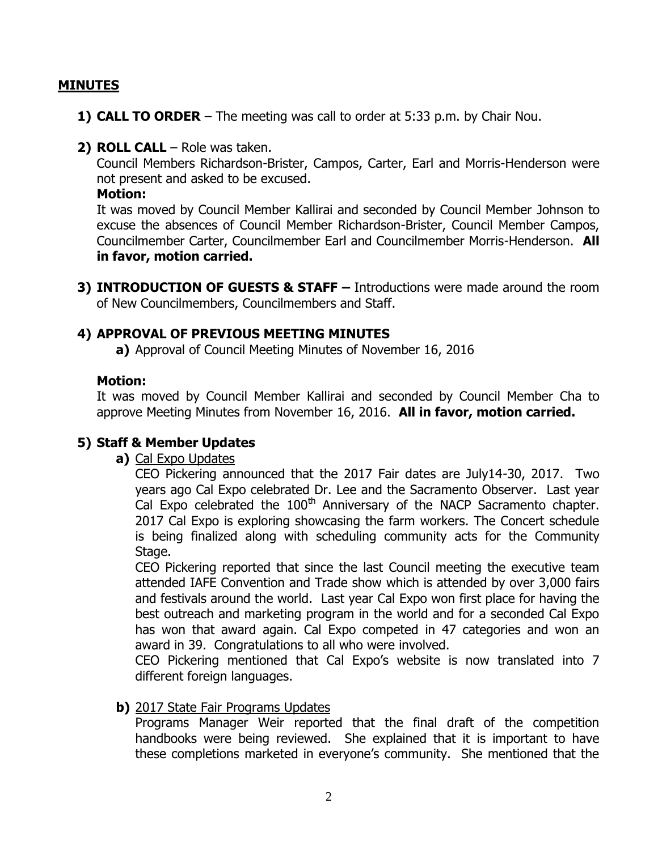#### **MINUTES**

- **1) CALL TO ORDER** The meeting was call to order at 5:33 p.m. by Chair Nou.
- **2) ROLL CALL**  Role was taken.

Council Members Richardson-Brister, Campos, Carter, Earl and Morris-Henderson were not present and asked to be excused.

**Motion:**

It was moved by Council Member Kallirai and seconded by Council Member Johnson to excuse the absences of Council Member Richardson-Brister, Council Member Campos, Councilmember Carter, Councilmember Earl and Councilmember Morris-Henderson. **All in favor, motion carried.**

**3) INTRODUCTION OF GUESTS & STAFF –** Introductions were made around the room of New Councilmembers, Councilmembers and Staff.

#### **4) APPROVAL OF PREVIOUS MEETING MINUTES**

**a)** Approval of Council Meeting Minutes of November 16, 2016

#### **Motion:**

It was moved by Council Member Kallirai and seconded by Council Member Cha to approve Meeting Minutes from November 16, 2016. **All in favor, motion carried.**

### **5) Staff & Member Updates**

**a)** Cal Expo Updates

CEO Pickering announced that the 2017 Fair dates are July14-30, 2017. Two years ago Cal Expo celebrated Dr. Lee and the Sacramento Observer. Last year Cal Expo celebrated the  $100<sup>th</sup>$  Anniversary of the NACP Sacramento chapter. 2017 Cal Expo is exploring showcasing the farm workers. The Concert schedule is being finalized along with scheduling community acts for the Community Stage.

CEO Pickering reported that since the last Council meeting the executive team attended IAFE Convention and Trade show which is attended by over 3,000 fairs and festivals around the world. Last year Cal Expo won first place for having the best outreach and marketing program in the world and for a seconded Cal Expo has won that award again. Cal Expo competed in 47 categories and won an award in 39. Congratulations to all who were involved.

CEO Pickering mentioned that Cal Expo's website is now translated into 7 different foreign languages.

#### **b)** 2017 State Fair Programs Updates

Programs Manager Weir reported that the final draft of the competition handbooks were being reviewed. She explained that it is important to have these completions marketed in everyone's community. She mentioned that the